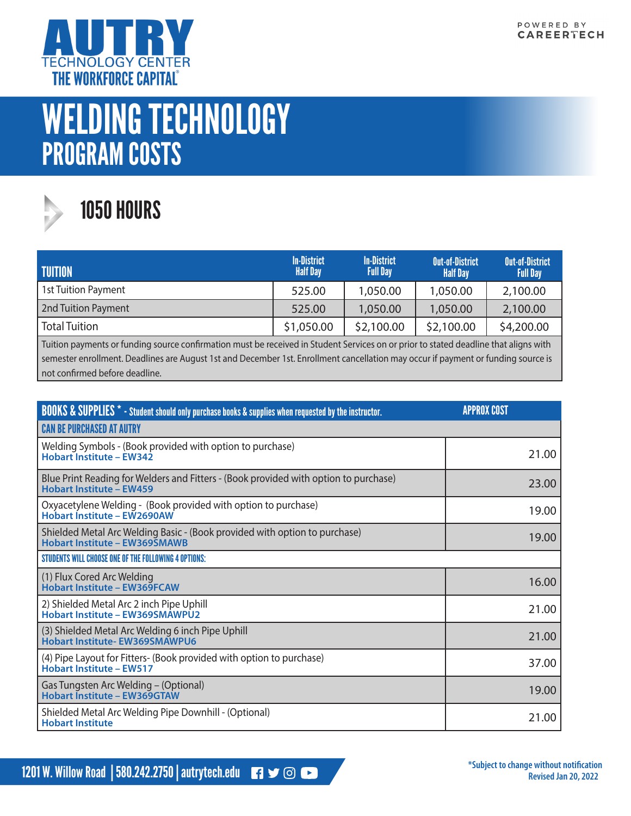

## WELDING TECHNOLOGY PROGRAM COSTS



## 1050 HOURS

| <b>TUITION</b>             | <b>In-District</b><br><b>Half Day</b> | <b>In-District</b><br><b>Full Day</b> | <b>Out-of-District</b><br><b>Half Day</b> | <b>Out-of-District</b><br><b>Full Day</b> |
|----------------------------|---------------------------------------|---------------------------------------|-------------------------------------------|-------------------------------------------|
| <b>1st Tuition Payment</b> | 525.00                                | 1,050.00                              | 1,050.00                                  | 2,100.00                                  |
| 2nd Tuition Payment        | 525.00                                | 1,050.00                              | 1,050.00                                  | 2,100.00                                  |
| <b>Total Tuition</b>       | \$1,050.00                            | \$2,100.00                            | \$2,100.00                                | \$4,200.00                                |

Tuition payments or funding source confirmation must be received in Student Services on or prior to stated deadline that aligns with semester enrollment. Deadlines are August 1st and December 1st. Enrollment cancellation may occur if payment or funding source is not confirmed before deadline.

| <b>BOOKS &amp; SUPPLIES</b> * - Student should only purchase books & supplies when requested by the instructor.         | <b>APPROX COST</b> |
|-------------------------------------------------------------------------------------------------------------------------|--------------------|
| <b>CAN BE PURCHASED AT AUTRY</b>                                                                                        |                    |
| Welding Symbols - (Book provided with option to purchase)<br><b>Hobart Institute - EW342</b>                            | 21.00              |
| Blue Print Reading for Welders and Fitters - (Book provided with option to purchase)<br><b>Hobart Institute - EW459</b> | 23.00              |
| Oxyacetylene Welding - (Book provided with option to purchase)<br>Hobart Institute - EW2690AW                           | 19.00              |
| Shielded Metal Arc Welding Basic - (Book provided with option to purchase)<br><b>Hobart Institute - EW369SMAWB</b>      | 19.00              |
| STUDENTS WILL CHOOSE ONE OF THE FOLLOWING 4 OPTIONS:                                                                    |                    |
| (1) Flux Cored Arc Welding<br><b>Hobart Institute - EW369FCAW</b>                                                       | 16.00              |
| 2) Shielded Metal Arc 2 inch Pipe Uphill<br><b>Hobart Institute - EW369SMAWPU2</b>                                      | 21.00              |
| (3) Shielded Metal Arc Welding 6 inch Pipe Uphill<br><b>Hobart Institute-EW369SMAWPU6</b>                               | 21.00              |
| (4) Pipe Layout for Fitters- (Book provided with option to purchase)<br><b>Hobart Institute - EW517</b>                 | 37.00              |
| Gas Tungsten Arc Welding – (Optional)<br><b>Hobart Institute - EW369GTAW</b>                                            | 19.00              |
| Shielded Metal Arc Welding Pipe Downhill - (Optional)<br><b>Hobart Institute</b>                                        | 21.00              |